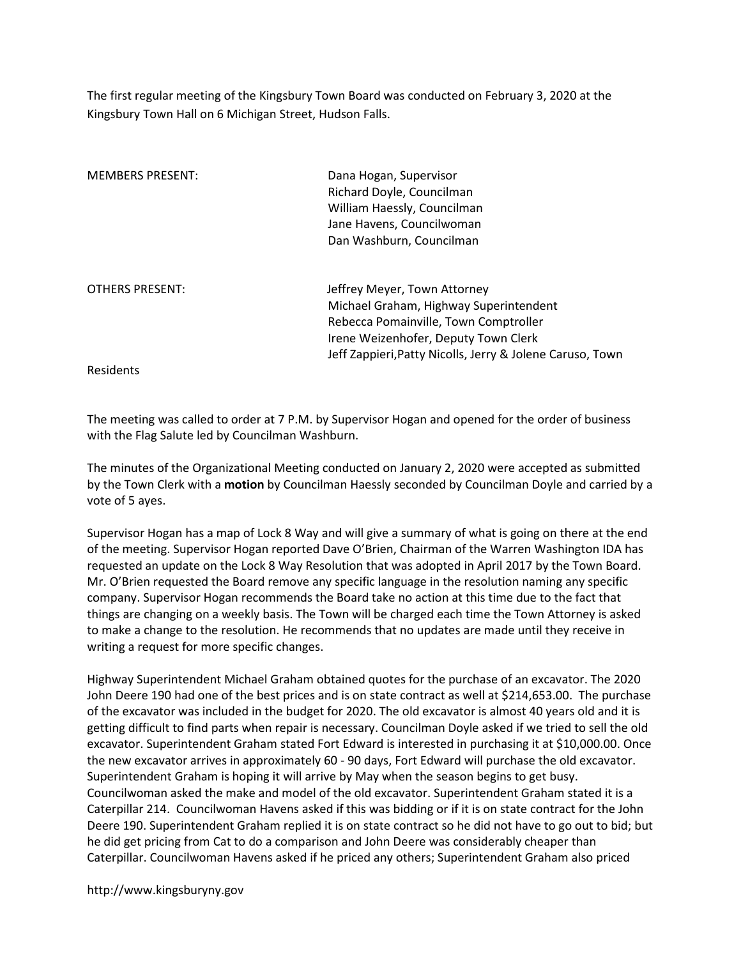The first regular meeting of the Kingsbury Town Board was conducted on February 3, 2020 at the Kingsbury Town Hall on 6 Michigan Street, Hudson Falls.

| <b>MEMBERS PRESENT:</b> | Dana Hogan, Supervisor                                    |
|-------------------------|-----------------------------------------------------------|
|                         | Richard Doyle, Councilman                                 |
|                         | William Haessly, Councilman                               |
|                         | Jane Havens, Councilwoman                                 |
|                         | Dan Washburn, Councilman                                  |
| <b>OTHERS PRESENT:</b>  | Jeffrey Meyer, Town Attorney                              |
|                         | Michael Graham, Highway Superintendent                    |
|                         | Rebecca Pomainville, Town Comptroller                     |
|                         | Irene Weizenhofer, Deputy Town Clerk                      |
|                         | Jeff Zappieri, Patty Nicolls, Jerry & Jolene Caruso, Town |
| <b>Residents</b>        |                                                           |

The meeting was called to order at 7 P.M. by Supervisor Hogan and opened for the order of business with the Flag Salute led by Councilman Washburn.

The minutes of the Organizational Meeting conducted on January 2, 2020 were accepted as submitted by the Town Clerk with a motion by Councilman Haessly seconded by Councilman Doyle and carried by a vote of 5 ayes.

Supervisor Hogan has a map of Lock 8 Way and will give a summary of what is going on there at the end of the meeting. Supervisor Hogan reported Dave O'Brien, Chairman of the Warren Washington IDA has requested an update on the Lock 8 Way Resolution that was adopted in April 2017 by the Town Board. Mr. O'Brien requested the Board remove any specific language in the resolution naming any specific company. Supervisor Hogan recommends the Board take no action at this time due to the fact that things are changing on a weekly basis. The Town will be charged each time the Town Attorney is asked to make a change to the resolution. He recommends that no updates are made until they receive in writing a request for more specific changes.

Highway Superintendent Michael Graham obtained quotes for the purchase of an excavator. The 2020 John Deere 190 had one of the best prices and is on state contract as well at \$214,653.00. The purchase of the excavator was included in the budget for 2020. The old excavator is almost 40 years old and it is getting difficult to find parts when repair is necessary. Councilman Doyle asked if we tried to sell the old excavator. Superintendent Graham stated Fort Edward is interested in purchasing it at \$10,000.00. Once the new excavator arrives in approximately 60 - 90 days, Fort Edward will purchase the old excavator. Superintendent Graham is hoping it will arrive by May when the season begins to get busy. Councilwoman asked the make and model of the old excavator. Superintendent Graham stated it is a Caterpillar 214. Councilwoman Havens asked if this was bidding or if it is on state contract for the John Deere 190. Superintendent Graham replied it is on state contract so he did not have to go out to bid; but he did get pricing from Cat to do a comparison and John Deere was considerably cheaper than Caterpillar. Councilwoman Havens asked if he priced any others; Superintendent Graham also priced

http://www.kingsburyny.gov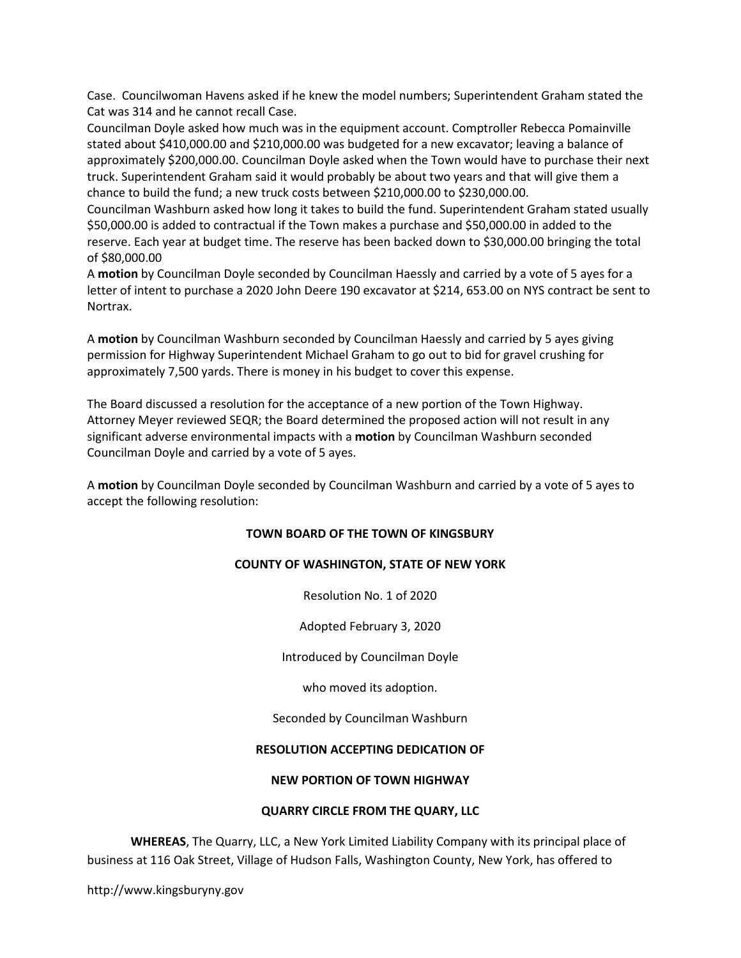Case. Councilwoman Havens asked if he knew the model numbers; Superintendent Graham stated the Cat was 314 and he cannot recall Case.

Councilman Doyle asked how much was in the equipment account. Comptroller Rebecca Pomainville stated about \$410,000.00 and \$210,000.00 was budgeted for a new excavator; leaving a balance of approximately \$200,000.00. Councilman Doyle asked when the Town would have to purchase their next truck. Superintendent Graham said it would probably be about two years and that will give them a chance to build the fund; a new truck costs between \$210,000.00 to \$230,000.00.

Councilman Washburn asked how long it takes to build the fund. Superintendent Graham stated usually \$50,000.00 is added to contractual if the Town makes a purchase and \$50,000.00 in added to the reserve. Each year at budget time. The reserve has been backed down to \$30,000.00 bringing the total of \$80,000.00

A motion by Councilman Doyle seconded by Councilman Haessly and carried by a vote of 5 ayes for a letter of intent to purchase a 2020 John Deere 190 excavator at \$214, 653.00 on NYS contract be sent to Nortrax.

A motion by Councilman Washburn seconded by Councilman Haessly and carried by 5 ayes giving permission for Highway Superintendent Michael Graham to go out to bid for gravel crushing for approximately 7,500 yards. There is money in his budget to cover this expense.

The Board discussed a resolution for the acceptance of a new portion of the Town Highway. Attorney Meyer reviewed SEQR; the Board determined the proposed action will not result in any significant adverse environmental impacts with a **motion** by Councilman Washburn seconded Councilman Doyle and carried by a vote of 5 ayes.

A motion by Councilman Doyle seconded by Councilman Washburn and carried by a vote of 5 ayes to accept the following resolution:

# TOWN BOARD OF THE TOWN OF KINGSBURY

#### COUNTY OF WASHINGTON, STATE OF NEW YORK

Resolution No. 1 of 2020

Adopted February 3, 2020

Introduced by Councilman Doyle

who moved its adoption.

Seconded by Councilman Washburn

### RESOLUTION ACCEPTING DEDICATION OF

#### NEW PORTION OF TOWN HIGHWAY

#### QUARRY CIRCLE FROM THE QUARY, LLC

WHEREAS, The Quarry, LLC, a New York Limited Liability Company with its principal place of business at 116 Oak Street, Village of Hudson Falls, Washington County, New York, has offered to

http://www.kingsburyny.gov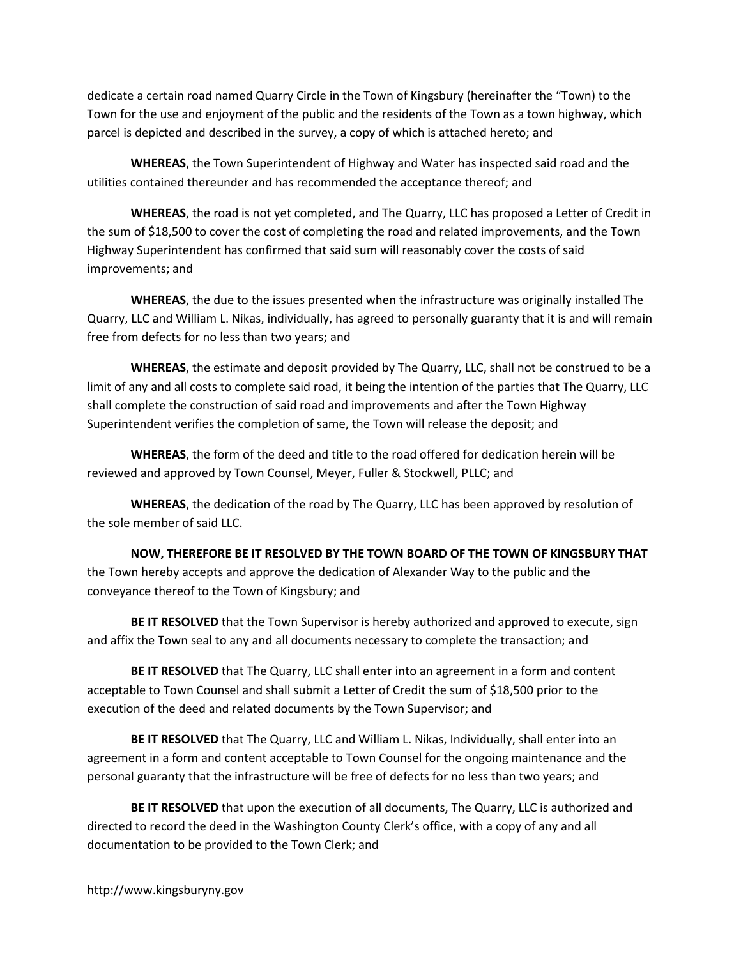dedicate a certain road named Quarry Circle in the Town of Kingsbury (hereinafter the "Town) to the Town for the use and enjoyment of the public and the residents of the Town as a town highway, which parcel is depicted and described in the survey, a copy of which is attached hereto; and

WHEREAS, the Town Superintendent of Highway and Water has inspected said road and the utilities contained thereunder and has recommended the acceptance thereof; and

WHEREAS, the road is not yet completed, and The Quarry, LLC has proposed a Letter of Credit in the sum of \$18,500 to cover the cost of completing the road and related improvements, and the Town Highway Superintendent has confirmed that said sum will reasonably cover the costs of said improvements; and

WHEREAS, the due to the issues presented when the infrastructure was originally installed The Quarry, LLC and William L. Nikas, individually, has agreed to personally guaranty that it is and will remain free from defects for no less than two years; and

WHEREAS, the estimate and deposit provided by The Quarry, LLC, shall not be construed to be a limit of any and all costs to complete said road, it being the intention of the parties that The Quarry, LLC shall complete the construction of said road and improvements and after the Town Highway Superintendent verifies the completion of same, the Town will release the deposit; and

WHEREAS, the form of the deed and title to the road offered for dedication herein will be reviewed and approved by Town Counsel, Meyer, Fuller & Stockwell, PLLC; and

WHEREAS, the dedication of the road by The Quarry, LLC has been approved by resolution of the sole member of said LLC.

NOW, THEREFORE BE IT RESOLVED BY THE TOWN BOARD OF THE TOWN OF KINGSBURY THAT the Town hereby accepts and approve the dedication of Alexander Way to the public and the conveyance thereof to the Town of Kingsbury; and

BE IT RESOLVED that the Town Supervisor is hereby authorized and approved to execute, sign and affix the Town seal to any and all documents necessary to complete the transaction; and

BE IT RESOLVED that The Quarry, LLC shall enter into an agreement in a form and content acceptable to Town Counsel and shall submit a Letter of Credit the sum of \$18,500 prior to the execution of the deed and related documents by the Town Supervisor; and

BE IT RESOLVED that The Quarry, LLC and William L. Nikas, Individually, shall enter into an agreement in a form and content acceptable to Town Counsel for the ongoing maintenance and the personal guaranty that the infrastructure will be free of defects for no less than two years; and

BE IT RESOLVED that upon the execution of all documents, The Quarry, LLC is authorized and directed to record the deed in the Washington County Clerk's office, with a copy of any and all documentation to be provided to the Town Clerk; and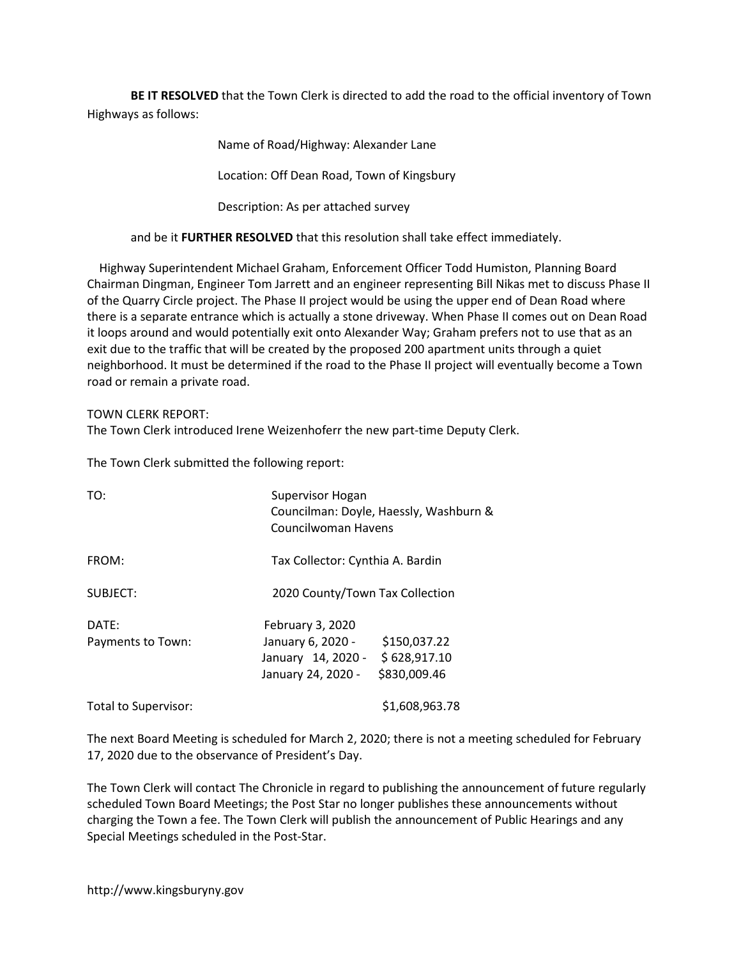BE IT RESOLVED that the Town Clerk is directed to add the road to the official inventory of Town Highways as follows:

Name of Road/Highway: Alexander Lane

Location: Off Dean Road, Town of Kingsbury

Description: As per attached survey

and be it FURTHER RESOLVED that this resolution shall take effect immediately.

 Highway Superintendent Michael Graham, Enforcement Officer Todd Humiston, Planning Board Chairman Dingman, Engineer Tom Jarrett and an engineer representing Bill Nikas met to discuss Phase II of the Quarry Circle project. The Phase II project would be using the upper end of Dean Road where there is a separate entrance which is actually a stone driveway. When Phase II comes out on Dean Road it loops around and would potentially exit onto Alexander Way; Graham prefers not to use that as an exit due to the traffic that will be created by the proposed 200 apartment units through a quiet neighborhood. It must be determined if the road to the Phase II project will eventually become a Town road or remain a private road.

# TOWN CLERK REPORT:

The Town Clerk introduced Irene Weizenhoferr the new part-time Deputy Clerk.

The Town Clerk submitted the following report:

| TO:                        | Supervisor Hogan<br>Councilman: Doyle, Haessly, Washburn &<br>Councilwoman Havens                                                 |
|----------------------------|-----------------------------------------------------------------------------------------------------------------------------------|
| FROM:                      | Tax Collector: Cynthia A. Bardin                                                                                                  |
| SUBJECT:                   | 2020 County/Town Tax Collection                                                                                                   |
| DATE:<br>Payments to Town: | February 3, 2020<br>\$150,037.22<br>January 6, 2020 -<br>\$628,917.10<br>January 14, 2020 -<br>\$830,009.46<br>January 24, 2020 - |
| Total to Supervisor:       | \$1,608,963.78                                                                                                                    |

The next Board Meeting is scheduled for March 2, 2020; there is not a meeting scheduled for February 17, 2020 due to the observance of President's Day.

The Town Clerk will contact The Chronicle in regard to publishing the announcement of future regularly scheduled Town Board Meetings; the Post Star no longer publishes these announcements without charging the Town a fee. The Town Clerk will publish the announcement of Public Hearings and any Special Meetings scheduled in the Post-Star.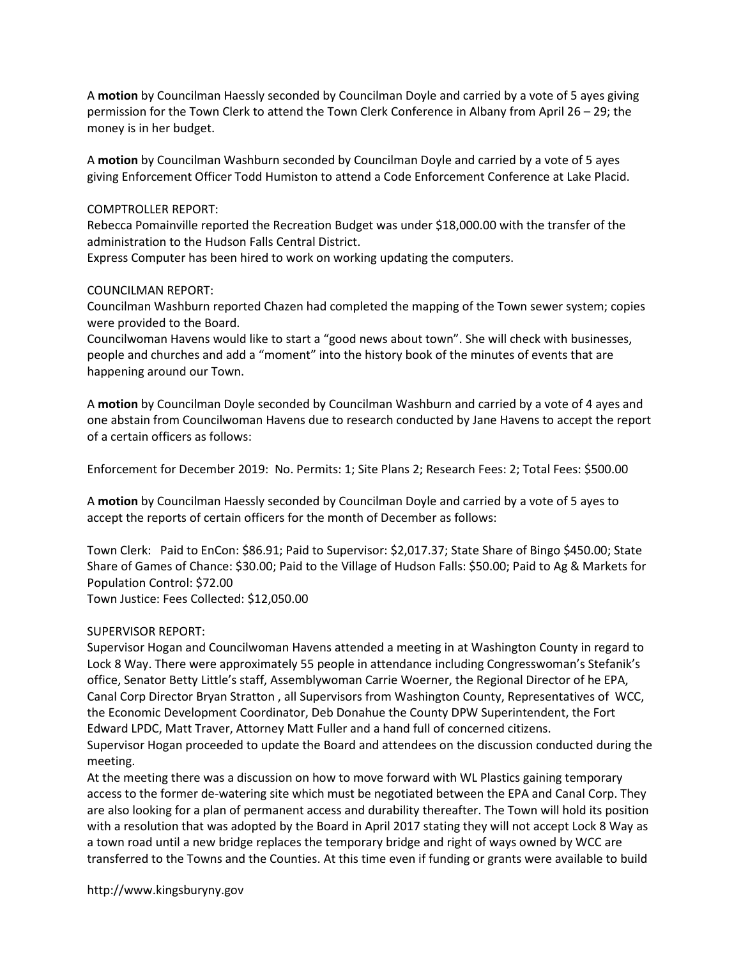A motion by Councilman Haessly seconded by Councilman Doyle and carried by a vote of 5 ayes giving permission for the Town Clerk to attend the Town Clerk Conference in Albany from April 26 – 29; the money is in her budget.

A motion by Councilman Washburn seconded by Councilman Doyle and carried by a vote of 5 ayes giving Enforcement Officer Todd Humiston to attend a Code Enforcement Conference at Lake Placid.

### COMPTROLLER REPORT:

Rebecca Pomainville reported the Recreation Budget was under \$18,000.00 with the transfer of the administration to the Hudson Falls Central District.

Express Computer has been hired to work on working updating the computers.

## COUNCILMAN REPORT:

Councilman Washburn reported Chazen had completed the mapping of the Town sewer system; copies were provided to the Board.

Councilwoman Havens would like to start a "good news about town". She will check with businesses, people and churches and add a "moment" into the history book of the minutes of events that are happening around our Town.

A motion by Councilman Doyle seconded by Councilman Washburn and carried by a vote of 4 ayes and one abstain from Councilwoman Havens due to research conducted by Jane Havens to accept the report of a certain officers as follows:

Enforcement for December 2019: No. Permits: 1; Site Plans 2; Research Fees: 2; Total Fees: \$500.00

A motion by Councilman Haessly seconded by Councilman Doyle and carried by a vote of 5 ayes to accept the reports of certain officers for the month of December as follows:

Town Clerk: Paid to EnCon: \$86.91; Paid to Supervisor: \$2,017.37; State Share of Bingo \$450.00; State Share of Games of Chance: \$30.00; Paid to the Village of Hudson Falls: \$50.00; Paid to Ag & Markets for Population Control: \$72.00 Town Justice: Fees Collected: \$12,050.00

#### SUPERVISOR REPORT:

Supervisor Hogan and Councilwoman Havens attended a meeting in at Washington County in regard to Lock 8 Way. There were approximately 55 people in attendance including Congresswoman's Stefanik's office, Senator Betty Little's staff, Assemblywoman Carrie Woerner, the Regional Director of he EPA, Canal Corp Director Bryan Stratton , all Supervisors from Washington County, Representatives of WCC, the Economic Development Coordinator, Deb Donahue the County DPW Superintendent, the Fort Edward LPDC, Matt Traver, Attorney Matt Fuller and a hand full of concerned citizens.

Supervisor Hogan proceeded to update the Board and attendees on the discussion conducted during the meeting.

At the meeting there was a discussion on how to move forward with WL Plastics gaining temporary access to the former de-watering site which must be negotiated between the EPA and Canal Corp. They are also looking for a plan of permanent access and durability thereafter. The Town will hold its position with a resolution that was adopted by the Board in April 2017 stating they will not accept Lock 8 Way as a town road until a new bridge replaces the temporary bridge and right of ways owned by WCC are transferred to the Towns and the Counties. At this time even if funding or grants were available to build